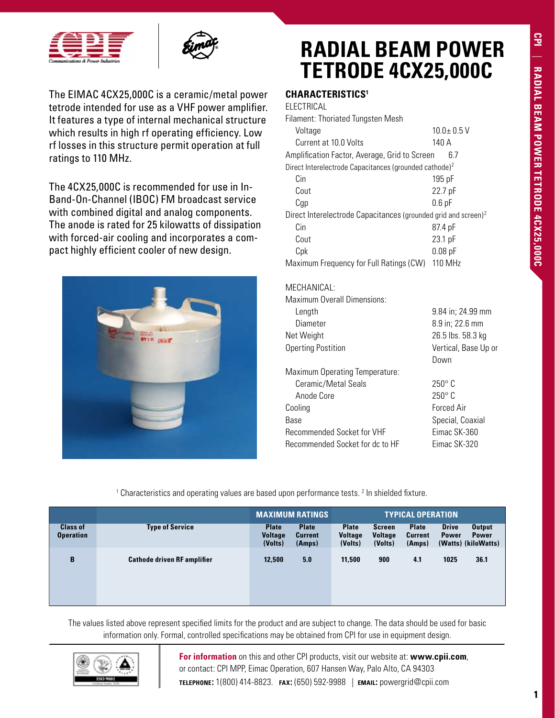



The EIMAC 4CX25,000C is a ceramic/metal power tetrode intended for use as a VHF power amplifier. It features a type of internal mechanical structure which results in high rf operating efficiency. Low rf losses in this structure permit operation at full ratings to 110 MHz.

The 4CX25,000C is recommended for use in In-Band-On-Channel (IBOC) FM broadcast service with combined digital and analog components. The anode is rated for 25 kilowatts of dissipation with forced-air cooling and incorporates a compact highly efficient cooler of new design.



### **RADIAL BEAM POWER TETRODE 4CX25,000C**

### **Characteristics1**

ELECTRICAL

| Filament: Thoriated Tungsten Mesh                                          |                  |  |
|----------------------------------------------------------------------------|------------------|--|
| Voltage                                                                    | $10.0 \pm 0.5$ V |  |
| Current at 10.0 Volts                                                      | 140 A            |  |
| Amplification Factor, Average, Grid to Screen                              | 6.7              |  |
| Direct Interelectrode Capacitances (grounded cathode) <sup>2</sup>         |                  |  |
| Cin                                                                        | $195$ pF         |  |
| Cout                                                                       | 22.7 pF          |  |
| Cqp                                                                        | $0.6$ pF         |  |
| Direct Interelectrode Capacitances (grounded grid and screen) <sup>2</sup> |                  |  |
| Cin                                                                        | 87.4 pF          |  |
| Cout                                                                       | 23.1 pF          |  |
| Cpk                                                                        | $0.08$ pF        |  |
| Maximum Frequency for Full Ratings (CW)                                    | 110 MHz          |  |

### MECHANICAL:

Maximum Overall Dimensions:

| Length                          | 9.84 in; 24.99 mm    |
|---------------------------------|----------------------|
| Diameter                        | 8.9 in; 22.6 mm      |
| Net Weight                      | 26.5 lbs. 58.3 kg    |
| <b>Operting Postition</b>       | Vertical, Base Up or |
|                                 | Down                 |
| Maximum Operating Temperature:  |                      |
| Ceramic/Metal Seals             | $250^\circ$ C        |
| Anode Core                      | $250^\circ$ C        |
| Cooling                         | <b>Forced Air</b>    |
| Base                            | Special, Coaxial     |
| Recommended Socket for VHF      | Eimac SK-360         |
| Recommended Socket for dc to HF | Fimac SK-320         |
|                                 |                      |

<sup>1</sup> Characteristics and operating values are based upon performance tests. <sup>2</sup> In shielded fixture.

|                                     |                                    | <b>MAXIMUM RATINGS</b>                    |                                          | <b>TYPICAL OPERATION</b>                  |                                            |                                          |                              |                                                      |
|-------------------------------------|------------------------------------|-------------------------------------------|------------------------------------------|-------------------------------------------|--------------------------------------------|------------------------------------------|------------------------------|------------------------------------------------------|
| <b>Class of</b><br><b>Operation</b> | <b>Type of Service</b>             | <b>Plate</b><br><b>Voltage</b><br>(Volts) | <b>Plate</b><br><b>Current</b><br>(Amps) | <b>Plate</b><br><b>Voltage</b><br>(Volts) | <b>Screen</b><br><b>Voltage</b><br>(Volts) | <b>Plate</b><br><b>Current</b><br>(Amps) | <b>Drive</b><br><b>Power</b> | <b>Output</b><br><b>Power</b><br>(Watts) (kiloWatts) |
| B                                   | <b>Cathode driven RF amplifier</b> | 12,500                                    | 5.0                                      | 11,500                                    | 900                                        | 4.1                                      | 1025                         | 36.1                                                 |

The values listed above represent specified limits for the product and are subject to change. The data should be used for basic information only. Formal, controlled specifications may be obtained from CPI for use in equipment design.



**For information** on this and other CPI products, visit our website at: **www.cpii.com**, or contact: CPI MPP, Eimac Operation, 607 Hansen Way, Palo Alto, CA 94303 **telephone:** 1(800) 414-8823. **fax:** (650) 592-9988 | **email:** powergrid@cpii.com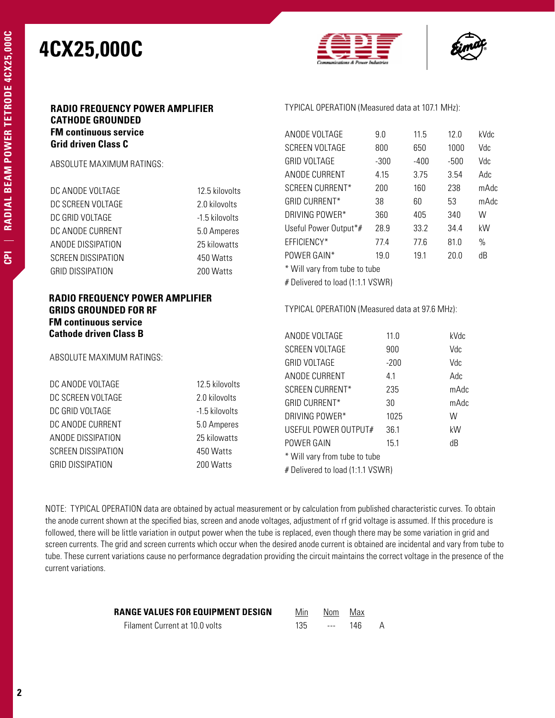

TYPICAL OPERATION (Measured data at 107.1 MHz):

ANODE VOLTAGE 9.0 11.5 12.0 kVdc SCREEN VOLTAGE 800 650 1000 Vdc GRID VOLTAGE -300 -400 -500 Vdc



#### **RADIO FREQUENCY POWER AMPLIFIER CATHODE GROUNDED FM continuous service Grid driven Class C**

ABSOLUTE MAXIMUM RATINGS:

|                                                                                                        |                | ANODE CURRENT                                  | 4.15          | 3.75 | 3.54         | Adc  |  |
|--------------------------------------------------------------------------------------------------------|----------------|------------------------------------------------|---------------|------|--------------|------|--|
| DC ANODE VOLTAGE                                                                                       | 12.5 kilovolts | SCREEN CURRENT*                                | 200           | 160  | 238          | mAdc |  |
| DC SCREEN VOLTAGE                                                                                      | 2.0 kilovolts  | <b>GRID CURRENT*</b>                           | 38            | 60   | 53           | mAdc |  |
| DC GRID VOLTAGE                                                                                        | -1.5 kilovolts | DRIVING POWER*                                 | 360           | 405  | 340          | W    |  |
| DC ANODE CURRENT                                                                                       | 5.0 Amperes    | Useful Power Output*#                          | 28.9          | 33.2 | 34.4         | kW   |  |
| ANODE DISSIPATION                                                                                      | 25 kilowatts   | EFFICIENCY*                                    | 77.4          | 77.6 | 81.0         | $\%$ |  |
| SCREEN DISSIPATION                                                                                     | 450 Watts      | POWER GAIN*                                    | 19.0          | 19.1 | 20.0         | dB   |  |
| <b>GRID DISSIPATION</b>                                                                                | 200 Watts      | * Will vary from tube to tube                  |               |      |              |      |  |
|                                                                                                        |                | # Delivered to load (1:1.1 VSWR)               |               |      |              |      |  |
| <b>RADIO FREQUENCY POWER AMPLIFIER</b><br><b>GRIDS GROUNDED FOR RF</b><br><b>FM continuous service</b> |                | TYPICAL OPERATION (Measured data at 97.6 MHz): |               |      |              |      |  |
| <b>Cathode driven Class B</b>                                                                          |                | ANODE VOLTAGE                                  | 11.0          |      | kVdc         |      |  |
| ABSOLUTE MAXIMUM RATINGS:                                                                              |                | SCREEN VOLTAGE<br><b>GRID VOLTAGE</b>          | 900<br>$-200$ |      | Vdc<br>Vdc   |      |  |
| DC ANODE VOLTAGE                                                                                       | 12.5 kilovolts | ANODE CURRENT                                  | 4.1           |      | Adc          |      |  |
| DC SCREEN VOLTAGE                                                                                      | 2.0 kilovolts  | SCREEN CURRENT*<br><b>GRID CURRENT*</b>        | 235<br>30     |      | mAdc<br>mAdc |      |  |
| DC GRID VOLTAGE                                                                                        | -1.5 kilovolts | DRIVING POWER*                                 | 1025          |      | W            |      |  |
| DC ANODE CURRENT                                                                                       | 5.0 Amperes    | USEFUL POWER OUTPUT#                           | 36.1          |      | kW           |      |  |
| ANODE DISSIPATION                                                                                      | 25 kilowatts   | POWER GAIN                                     | 15.1          |      | dB           |      |  |
| SCREEN DISSIPATION                                                                                     | 450 Watts      | * Will vary from tube to tube                  |               |      |              |      |  |
| <b>GRID DISSIPATION</b>                                                                                | 200 Watts      | # Delivered to load (1:1.1 VSWR)               |               |      |              |      |  |
|                                                                                                        |                |                                                |               |      |              |      |  |

NOTE: TYPICAL OPERATION data are obtained by actual measurement or by calculation from published characteristic curves. To obtain the anode current shown at the specified bias, screen and anode voltages, adjustment of rf grid voltage is assumed. If this procedure is followed, there will be little variation in output power when the tube is replaced, even though there may be some variation in grid and screen currents. The grid and screen currents which occur when the desired anode current is obtained are incidental and vary from tube to tube. These current variations cause no performance degradation providing the circuit maintains the correct voltage in the presence of the current variations.

| RANGE VALUES FOR EQUIPMENT DESIGN | Min | Nom Max           |     |   |
|-----------------------------------|-----|-------------------|-----|---|
| Filament Current at 10.0 volts    | 135 | <b>Contractor</b> | 146 | A |

**CPI** |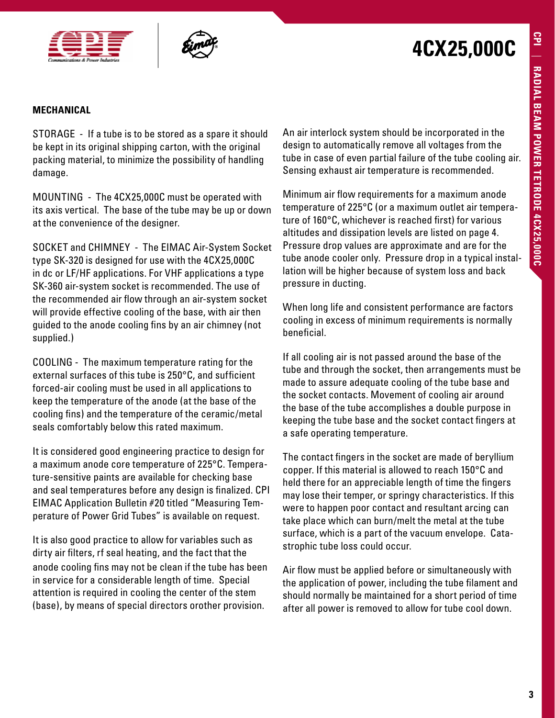



#### **MECHANICAL**

STORAGE - If a tube is to be stored as a spare it should be kept in its original shipping carton, with the original packing material, to minimize the possibility of handling damage.

MOUNTING - The 4CX25,000C must be operated with its axis vertical. The base of the tube may be up or down at the convenience of the designer.

SOCKET and CHIMNEY - The EIMAC Air-System Socket type SK-320 is designed for use with the 4CX25,000C in dc or LF/HF applications. For VHF applications a type SK-360 air-system socket is recommended. The use of the recommended air flow through an air-system socket will provide effective cooling of the base, with air then guided to the anode cooling fins by an air chimney (not supplied.)

COOLING - The maximum temperature rating for the external surfaces of this tube is 250°C, and sufficient forced-air cooling must be used in all applications to keep the temperature of the anode (at the base of the cooling fins) and the temperature of the ceramic/metal seals comfortably below this rated maximum.

It is considered good engineering practice to design for a maximum anode core temperature of 225°C. Temperature-sensitive paints are available for checking base and seal temperatures before any design is finalized. CPI EIMAC Application Bulletin #20 titled "Measuring Temperature of Power Grid Tubes" is available on request.

It is also good practice to allow for variables such as dirty air filters, rf seal heating, and the fact that the anode cooling fins may not be clean if the tube has been in service for a considerable length of time. Special attention is required in cooling the center of the stem (base), by means of special directors orother provision.

An air interlock system should be incorporated in the design to automatically remove all voltages from the tube in case of even partial failure of the tube cooling air. Sensing exhaust air temperature is recommended.

Minimum air flow requirements for a maximum anode temperature of 225°C (or a maximum outlet air temperature of 160°C, whichever is reached first) for various altitudes and dissipation levels are listed on page 4. Pressure drop values are approximate and are for the tube anode cooler only. Pressure drop in a typical installation will be higher because of system loss and back pressure in ducting.

When long life and consistent performance are factors cooling in excess of minimum requirements is normally beneficial.

If all cooling air is not passed around the base of the tube and through the socket, then arrangements must be made to assure adequate cooling of the tube base and the socket contacts. Movement of cooling air around the base of the tube accomplishes a double purpose in keeping the tube base and the socket contact fingers at a safe operating temperature.

The contact fingers in the socket are made of beryllium copper. If this material is allowed to reach 150°C and held there for an appreciable length of time the fingers may lose their temper, or springy characteristics. If this were to happen poor contact and resultant arcing can take place which can burn/melt the metal at the tube surface, which is a part of the vacuum envelope. Catastrophic tube loss could occur.

Air flow must be applied before or simultaneously with the application of power, including the tube filament and should normally be maintained for a short period of time after all power is removed to allow for tube cool down.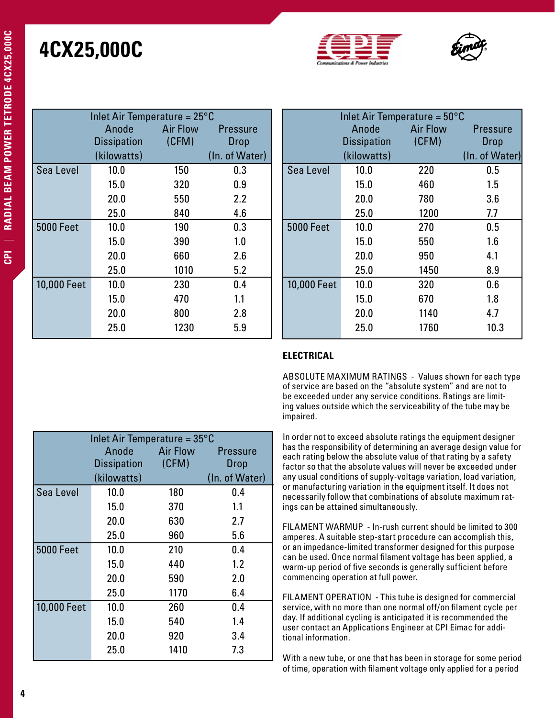



| Inlet Air Temperature = $25^{\circ}$ C |                    |                 |                 |  |  |
|----------------------------------------|--------------------|-----------------|-----------------|--|--|
|                                        | Anode              | <b>Air Flow</b> | <b>Pressure</b> |  |  |
|                                        | <b>Dissipation</b> | (CFM)           | <b>Drop</b>     |  |  |
|                                        | (kilowatts)        |                 | (In. of Water)  |  |  |
| Sea Level                              | 10.0               | 150             | 0.3             |  |  |
|                                        | 15.0               | 320             | 0.9             |  |  |
|                                        | 20.0               | 550             | 2.2             |  |  |
|                                        | 25.0               | 840             | 4.6             |  |  |
| <b>5000 Feet</b>                       | 10.0               | 190             | 0.3             |  |  |
|                                        | 15.0               | 390             | 1.0             |  |  |
|                                        | 20.0               | 660             | 2.6             |  |  |
|                                        | 25.0               | 1010            | 5.2             |  |  |
| 10,000 Feet                            | 10.0               | 230             | 0.4             |  |  |
|                                        | 15.0               | 470             | 1.1             |  |  |
|                                        | 20.0               | 800             | 2.8             |  |  |
|                                        | 25.0               | 1230            | 5.9             |  |  |

| Inlet Air Temperature = $50^{\circ}$ C |                    |                 |                 |  |  |
|----------------------------------------|--------------------|-----------------|-----------------|--|--|
|                                        | Anode              | <b>Air Flow</b> | <b>Pressure</b> |  |  |
|                                        | <b>Dissipation</b> | (CFM)           | Drop            |  |  |
|                                        | (kilowatts)        |                 | (In. of Water)  |  |  |
| Sea Level                              | 10.0               | 220             | 0.5             |  |  |
|                                        | 15.0               | 460             | 1.5             |  |  |
|                                        | 20.0               | 780             | 3.6             |  |  |
|                                        | 25.0               | 1200            | 7.7             |  |  |
| <b>5000 Feet</b>                       | 10.0               | 270             | 0.5             |  |  |
|                                        | 15.0               | 550             | 1.6             |  |  |
|                                        | 20.0               | 950             | 4.1             |  |  |
|                                        | 25.0               | 1450            | 8.9             |  |  |
| 10,000 Feet                            | 10.0               | 320             | 0.6             |  |  |
|                                        | 15.0               | 670             | 1.8             |  |  |
|                                        | 20.0               | 1140            | 4.7             |  |  |
|                                        | 25.0               | 1760            | 10.3            |  |  |

#### **ELECTRICAL**

ABSOLUTE MAXIMUM RATINGS - Values shown for each type of service are based on the "absolute system" and are not to be exceeded under any service conditions. Ratings are limiting values outside which the serviceability of the tube may be impaired.

In order not to exceed absolute ratings the equipment designer has the responsibility of determining an average design value for each rating below the absolute value of that rating by a safety factor so that the absolute values will never be exceeded under any usual conditions of supply-voltage variation, load variation, or manufacturing variation in the equipment itself. It does not necessarily follow that combinations of absolute maximum ratings can be attained simultaneously.

FILAMENT WARMUP - In-rush current should be limited to 300 amperes. A suitable step-start procedure can accomplish this, or an impedance-limited transformer designed for this purpose can be used. Once normal filament voltage has been applied, a warm-up period of five seconds is generally sufficient before commencing operation at full power.

FILAMENT OPERATION - This tube is designed for commercial service, with no more than one normal off/on filament cycle per day. If additional cycling is anticipated it is recommended the user contact an Applications Engineer at CPI Eimac for additional information.

With a new tube, or one that has been in storage for some period of time, operation with filament voltage only applied for a period

| ľ      |
|--------|
| ŕ      |
| ľ      |
| Г      |
| ŕ      |
|        |
| Ì      |
| ŀ      |
| ĺ      |
| ī<br>1 |
|        |
| ſ      |
| ľ      |
| ſ      |
|        |
| ١      |
|        |
|        |
| I      |
|        |
|        |
| İ      |
| r      |
|        |
| I<br>Ĭ |
| Ē      |
| i<br>L |
|        |
|        |
| ſ      |
|        |
| Ė      |
| C      |
| ţ      |
| r      |
| í      |
| Ē      |
|        |
|        |
|        |
|        |
|        |

<u>ت</u>

<u>පි</u>

| Inlet Air Temperature = $35^{\circ}$ C |                    |                 |                 |  |  |  |
|----------------------------------------|--------------------|-----------------|-----------------|--|--|--|
|                                        | Anode              | <b>Air Flow</b> | <b>Pressure</b> |  |  |  |
|                                        | <b>Dissipation</b> | (CFM)           | <b>Drop</b>     |  |  |  |
|                                        | (kilowatts)        |                 | (In. of Water)  |  |  |  |
| Sea Level                              | 10.0               | 180             | 0.4             |  |  |  |
|                                        | 15.0               | 370             | 1.1             |  |  |  |
|                                        | 20.0               | 630             | 2.7             |  |  |  |
|                                        | 25.0               | 960             | 5.6             |  |  |  |
| <b>5000 Feet</b>                       | 10.0               | 210             | 0.4             |  |  |  |
|                                        | 15.0               | 440             | 1.2             |  |  |  |
|                                        | 20.0               | 590             | 2.0             |  |  |  |
|                                        | 25.0               | 1170            | 6.4             |  |  |  |
| 10,000 Feet                            | 10.0               | 260             | 0.4             |  |  |  |
|                                        | 15.0               | 540             | 1.4             |  |  |  |
|                                        | 20.0               | 920             | 3.4             |  |  |  |
|                                        | 25.0               | 1410            | 7.3             |  |  |  |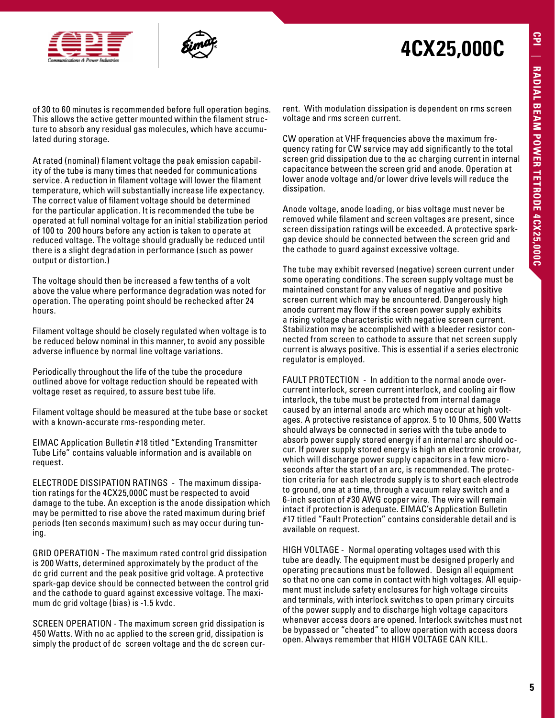



of 30 to 60 minutes is recommended before full operation begins. This allows the active getter mounted within the filament structure to absorb any residual gas molecules, which have accumulated during storage.

At rated (nominal) filament voltage the peak emission capability of the tube is many times that needed for communications service. A reduction in filament voltage will lower the filament temperature, which will substantially increase life expectancy. The correct value of filament voltage should be determined for the particular application. It is recommended the tube be operated at full nominal voltage for an initial stabilization period of 100 to 200 hours before any action is taken to operate at reduced voltage. The voltage should gradually be reduced until there is a slight degradation in performance (such as power output or distortion.)

The voltage should then be increased a few tenths of a volt above the value where performance degradation was noted for operation. The operating point should be rechecked after 24 hours.

Filament voltage should be closely regulated when voltage is to be reduced below nominal in this manner, to avoid any possible adverse influence by normal line voltage variations.

Periodically throughout the life of the tube the procedure outlined above for voltage reduction should be repeated with voltage reset as required, to assure best tube life.

Filament voltage should be measured at the tube base or socket with a known-accurate rms-responding meter.

EIMAC Application Bulletin #18 titled "Extending Transmitter Tube Life" contains valuable information and is available on request.

ELECTRODE DISSIPATION RATINGS - The maximum dissipation ratings for the 4CX25,000C must be respected to avoid damage to the tube. An exception is the anode dissipation which may be permitted to rise above the rated maximum during brief periods (ten seconds maximum) such as may occur during tuning.

GRID OPERATION - The maximum rated control grid dissipation is 200 Watts, determined approximately by the product of the dc grid current and the peak positive grid voltage. A protective spark-gap device should be connected between the control grid and the cathode to guard against excessive voltage. The maximum dc grid voltage (bias) is -1.5 kvdc.

SCREEN OPERATION - The maximum screen grid dissipation is 450 Watts. With no ac applied to the screen grid, dissipation is simply the product of dc screen voltage and the dc screen cur-

rent. With modulation dissipation is dependent on rms screen voltage and rms screen current.

CW operation at VHF frequencies above the maximum frequency rating for CW service may add significantly to the total screen grid dissipation due to the ac charging current in internal capacitance between the screen grid and anode. Operation at lower anode voltage and/or lower drive levels will reduce the dissipation.

Anode voltage, anode loading, or bias voltage must never be removed while filament and screen voltages are present, since screen dissipation ratings will be exceeded. A protective sparkgap device should be connected between the screen grid and the cathode to guard against excessive voltage.

The tube may exhibit reversed (negative) screen current under some operating conditions. The screen supply voltage must be maintained constant for any values of negative and positive screen current which may be encountered. Dangerously high anode current may flow if the screen power supply exhibits a rising voltage characteristic with negative screen current. Stabilization may be accomplished with a bleeder resistor connected from screen to cathode to assure that net screen supply current is always positive. This is essential if a series electronic regulator is employed.

FAULT PROTECTION - In addition to the normal anode overcurrent interlock, screen current interlock, and cooling air flow interlock, the tube must be protected from internal damage caused by an internal anode arc which may occur at high voltages. A protective resistance of approx. 5 to 10 Ohms, 500 Watts should always be connected in series with the tube anode to absorb power supply stored energy if an internal arc should occur. If power supply stored energy is high an electronic crowbar, which will discharge power supply capacitors in a few microseconds after the start of an arc, is recommended. The protection criteria for each electrode supply is to short each electrode to ground, one at a time, through a vacuum relay switch and a 6-inch section of #30 AWG copper wire. The wire will remain intact if protection is adequate. EIMAC's Application Bulletin #17 titled "Fault Protection" contains considerable detail and is available on request.

HIGH VOLTAGE - Normal operating voltages used with this tube are deadly. The equipment must be designed properly and operating precautions must be followed. Design all equipment so that no one can come in contact with high voltages. All equipment must include safety enclosures for high voltage circuits and terminals, with interlock switches to open primary circuits of the power supply and to discharge high voltage capacitors whenever access doors are opened. Interlock switches must not be bypassed or "cheated" to allow operation with access doors open. Always remember that HIGH VOLTAGE CAN KILL.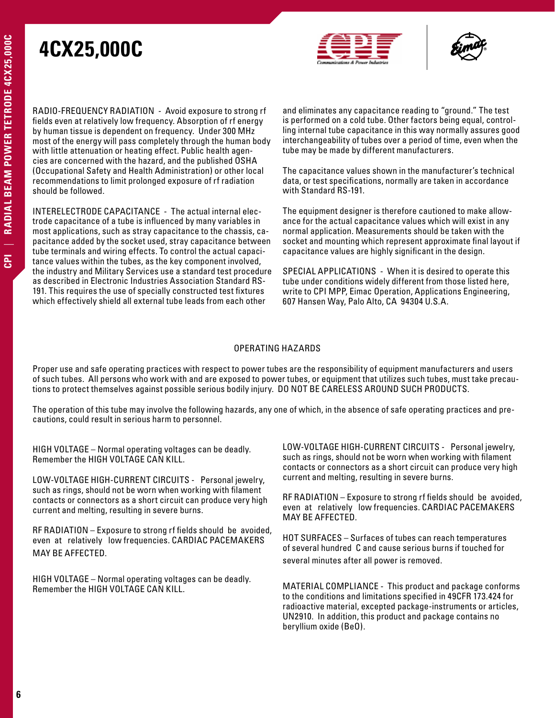



RADIO-FREQUENCY RADIATION - Avoid exposure to strong rf fields even at relatively low frequency. Absorption of rf energy by human tissue is dependent on frequency. Under 300 MHz most of the energy will pass completely through the human body with little attenuation or heating effect. Public health agencies are concerned with the hazard, and the published OSHA (Occupational Safety and Health Administration) or other local recommendations to limit prolonged exposure of rf radiation should be followed.

INTERELECTRODE CAPACITANCE - The actual internal electrode capacitance of a tube is influenced by many variables in most applications, such as stray capacitance to the chassis, capacitance added by the socket used, stray capacitance between tube terminals and wiring effects. To control the actual capacitance values within the tubes, as the key component involved, the industry and Military Services use a standard test procedure as described in Electronic Industries Association Standard RS-191. This requires the use of specially constructed test fixtures which effectively shield all external tube leads from each other

and eliminates any capacitance reading to "ground." The test is performed on a cold tube. Other factors being equal, controlling internal tube capacitance in this way normally assures good interchangeability of tubes over a period of time, even when the tube may be made by different manufacturers.

The capacitance values shown in the manufacturer's technical data, or test specifications, normally are taken in accordance with Standard RS-191.

The equipment designer is therefore cautioned to make allowance for the actual capacitance values which will exist in any normal application. Measurements should be taken with the socket and mounting which represent approximate final layout if capacitance values are highly significant in the design.

SPECIAL APPLICATIONS - When it is desired to operate this tube under conditions widely different from those listed here, write to CPI MPP, Eimac Operation, Applications Engineering, 607 Hansen Way, Palo Alto, CA 94304 U.S.A.

#### OPERATING HAZARDS

Proper use and safe operating practices with respect to power tubes are the responsibility of equipment manufacturers and users of such tubes. All persons who work with and are exposed to power tubes, or equipment that utilizes such tubes, must take precautions to protect themselves against possible serious bodily injury. DO NOT BE CARELESS AROUND SUCH PRODUCTS.

The operation of this tube may involve the following hazards, any one of which, in the absence of safe operating practices and precautions, could result in serious harm to personnel.

HIGH VOLTAGE – Normal operating voltages can be deadly. Remember the HIGH VOLTAGE CAN KILL.

LOW-VOLTAGE HIGH-CURRENT CIRCUITS - Personal jewelry, such as rings, should not be worn when working with filament contacts or connectors as a short circuit can produce very high current and melting, resulting in severe burns.

RF RADIATION – Exposure to strong rf fields should be avoided, even at relatively low frequencies. CARDIAC PACEMAKERS MAY BE AFFECTED.

HIGH VOLTAGE – Normal operating voltages can be deadly. Remember the HIGH VOLTAGE CAN KILL.

LOW-VOLTAGE HIGH-CURRENT CIRCUITS - Personal jewelry, such as rings, should not be worn when working with filament contacts or connectors as a short circuit can produce very high current and melting, resulting in severe burns.

RF RADIATION – Exposure to strong rf fields should be avoided, even at relatively low frequencies. CARDIAC PACEMAKERS MAY BE AFFECTED.

HOT SURFACES – Surfaces of tubes can reach temperatures of several hundred C and cause serious burns if touched for several minutes after all power is removed.

MATERIAL COMPLIANCE - This product and package conforms to the conditions and limitations specified in 49CFR 173.424 for radioactive material, excepted package-instruments or articles, UN2910. In addition, this product and package contains no beryllium oxide (BeO).

**CPI** |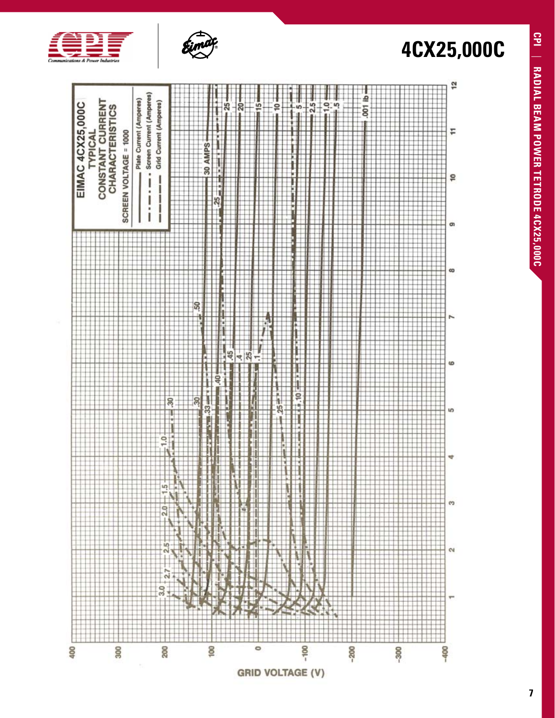